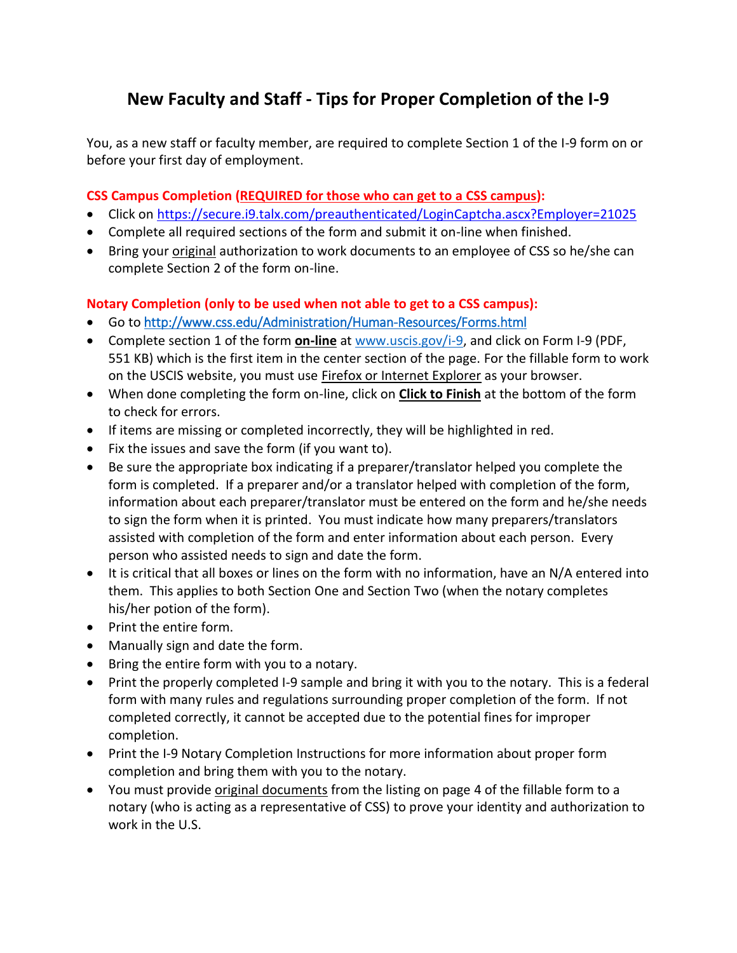## **New Faculty and Staff - Tips for Proper Completion of the I-9**

You, as a new staff or faculty member, are required to complete Section 1 of the I-9 form on or before your first day of employment.

## **CSS Campus Completion (REQUIRED for those who can get to a CSS campus):**

- Click on<https://secure.i9.talx.com/preauthenticated/LoginCaptcha.ascx?Employer=21025>
- Complete all required sections of the form and submit it on-line when finished.
- Bring your *original* authorization to work documents to an employee of CSS so he/she can complete Section 2 of the form on-line.

## **Notary Completion (only to be used when not able to get to a CSS campus):**

- Go to <http://www.css.edu/Administration/Human-Resources/Forms.html>
- Complete section 1 of the form **on-line** at [www.uscis.gov/i-9,](http://www.uscis.gov/i-9) and click on Form I-9 (PDF, 551 KB) which is the first item in the center section of the page. For the fillable form to work on the USCIS website, you must use **Firefox or Internet Explorer** as your browser.
- When done completing the form on-line, click on **Click to Finish** at the bottom of the form to check for errors.
- If items are missing or completed incorrectly, they will be highlighted in red.
- Fix the issues and save the form (if you want to).
- Be sure the appropriate box indicating if a preparer/translator helped you complete the form is completed. If a preparer and/or a translator helped with completion of the form, information about each preparer/translator must be entered on the form and he/she needs to sign the form when it is printed. You must indicate how many preparers/translators assisted with completion of the form and enter information about each person. Every person who assisted needs to sign and date the form.
- It is critical that all boxes or lines on the form with no information, have an N/A entered into them. This applies to both Section One and Section Two (when the notary completes his/her potion of the form).
- Print the entire form.
- Manually sign and date the form.
- Bring the entire form with you to a notary.
- Print the properly completed I-9 sample and bring it with you to the notary. This is a federal form with many rules and regulations surrounding proper completion of the form. If not completed correctly, it cannot be accepted due to the potential fines for improper completion.
- Print the I-9 Notary Completion Instructions for more information about proper form completion and bring them with you to the notary.
- You must provide original documents from the listing on page 4 of the fillable form to a notary (who is acting as a representative of CSS) to prove your identity and authorization to work in the U.S.